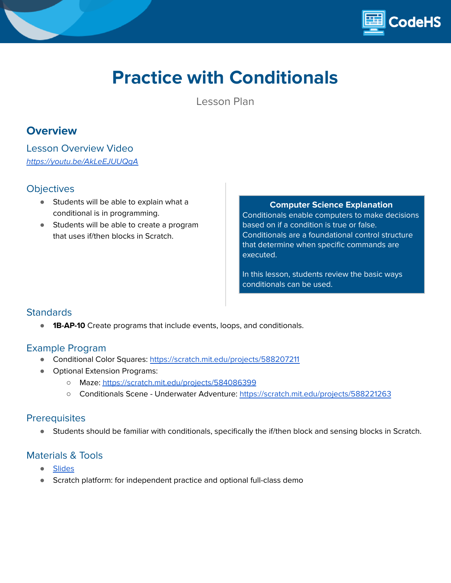

# **Practice with Conditionals**

Lesson Plan

# **Overview**

Lesson Overview Video <https://youtu.be/AkLeEJUUQgA>

### **Objectives**

- Students will be able to explain what a conditional is in programming.
- Students will be able to create a program that uses if/then blocks in Scratch.

**Computer Science Explanation**

Conditionals enable computers to make decisions based on if a condition is true or false. Conditionals are a foundational control structure that determine when specific commands are executed.

In this lesson, students review the basic ways conditionals can be used.

## **Standards**

**1B-AP-10** Create programs that include events, loops, and conditionals.

### Example Program

- Conditional Color Squares: <https://scratch.mit.edu/projects/588207211>
- Optional Extension Programs:
	- Maze: <https://scratch.mit.edu/projects/584086399>
	- Conditionals Scene Underwater Adventure: <https://scratch.mit.edu/projects/588221263>

#### **Prerequisites**

● Students should be familiar with conditionals, specifically the if/then block and sensing blocks in Scratch.

## Materials & Tools

- **[Slides](https://docs.google.com/presentation/d/1wpq3Y8Wl_fd5WJsZ5NG6SjXNfj-jGkTul0aDXuo6xyY/edit#slide=id.ge3298d02b6_0_8)**
- Scratch platform: for independent practice and optional full-class demo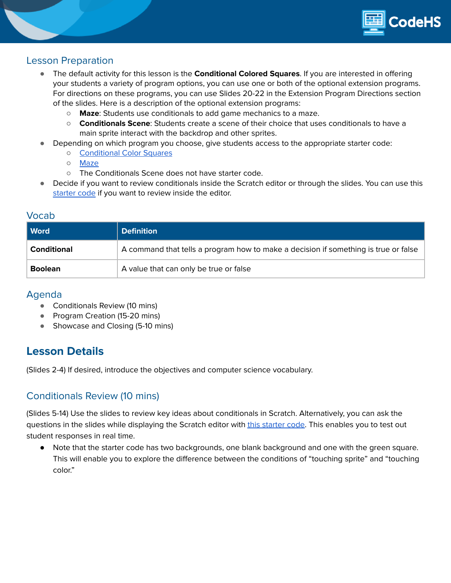

#### Lesson Preparation

- The default activity for this lesson is the **Conditional Colored Squares**. If you are interested in offering your students a variety of program options, you can use one or both of the optional extension programs. For directions on these programs, you can use Slides 20-22 in the Extension Program Directions section of the slides. Here is a description of the optional extension programs:
	- **Maze**: Students use conditionals to add game mechanics to a maze.
	- **Conditionals Scene**: Students create a scene of their choice that uses conditionals to have a main sprite interact with the backdrop and other sprites.
	- Depending on which program you choose, give students access to the appropriate starter code:
		- [Conditional](https://scratch.mit.edu/projects/589281301) Color Squares
		- [Maze](https://scratch.mit.edu/projects/589291669)
		- The Conditionals Scene does not have starter code.
- Decide if you want to review conditionals inside the Scratch editor or through the slides. You can use this [starter](https://scratch.mit.edu/projects/588239272) code if you want to review inside the editor.

#### Vocab

| <b>Word</b>        | <b>Definition</b>                                                                   |  |
|--------------------|-------------------------------------------------------------------------------------|--|
| <b>Conditional</b> | A command that tells a program how to make a decision if something is true or false |  |
| <b>Boolean</b>     | A value that can only be true or false                                              |  |

#### Agenda

- Conditionals Review (10 mins)
- Program Creation (15-20 mins)
- Showcase and Closing (5-10 mins)

# **Lesson Details**

(Slides 2-4) If desired, introduce the objectives and computer science vocabulary.

## Conditionals Review (10 mins)

(Slides 5-14) Use the slides to review key ideas about conditionals in Scratch. Alternatively, you can ask the questions in the slides while displaying the Scratch editor with this [starter](https://scratch.mit.edu/projects/588239272) code. This enables you to test out student responses in real time.

● Note that the starter code has two backgrounds, one blank background and one with the green square. This will enable you to explore the difference between the conditions of "touching sprite" and "touching color."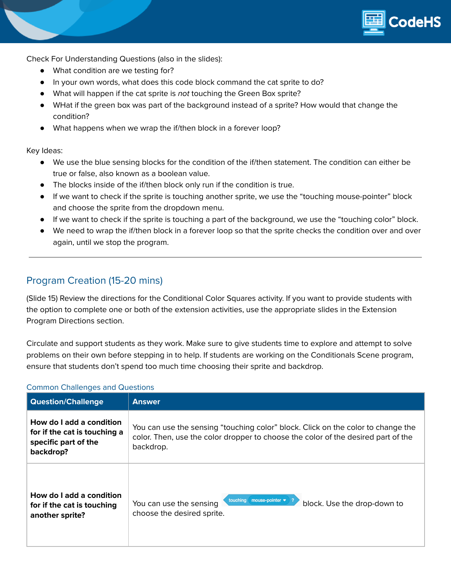

Check For Understanding Questions (also in the slides):

- What condition are we testing for?
- In your own words, what does this code block command the cat sprite to do?
- What will happen if the cat sprite is not touching the Green Box sprite?
- WHat if the green box was part of the background instead of a sprite? How would that change the condition?
- What happens when we wrap the if/then block in a forever loop?

Key Ideas:

- We use the blue sensing blocks for the condition of the if/then statement. The condition can either be true or false, also known as a boolean value.
- The blocks inside of the if/then block only run if the condition is true.
- If we want to check if the sprite is touching another sprite, we use the "touching mouse-pointer" block and choose the sprite from the dropdown menu.
- If we want to check if the sprite is touching a part of the background, we use the "touching color" block.
- We need to wrap the if/then block in a forever loop so that the sprite checks the condition over and over again, until we stop the program.

## Program Creation (15-20 mins)

(Slide 15) Review the directions for the Conditional Color Squares activity. If you want to provide students with the option to complete one or both of the extension activities, use the appropriate slides in the Extension Program Directions section.

Circulate and support students as they work. Make sure to give students time to explore and attempt to solve problems on their own before stepping in to help. If students are working on the Conditionals Scene program, ensure that students don't spend too much time choosing their sprite and backdrop.

| <b>Question/Challenge</b>                                                                     | <b>Answer</b>                                                                                                                                                                      |
|-----------------------------------------------------------------------------------------------|------------------------------------------------------------------------------------------------------------------------------------------------------------------------------------|
| How do I add a condition<br>for if the cat is touching a<br>specific part of the<br>backdrop? | You can use the sensing "touching color" block. Click on the color to change the<br>color. Then, use the color dropper to choose the color of the desired part of the<br>backdrop. |
| How do I add a condition<br>for if the cat is touching<br>another sprite?                     | touching<br>mouse-pointer $\bullet$<br>You can use the sensing<br>block. Use the drop-down to<br>choose the desired sprite.                                                        |

#### Common Challenges and Questions